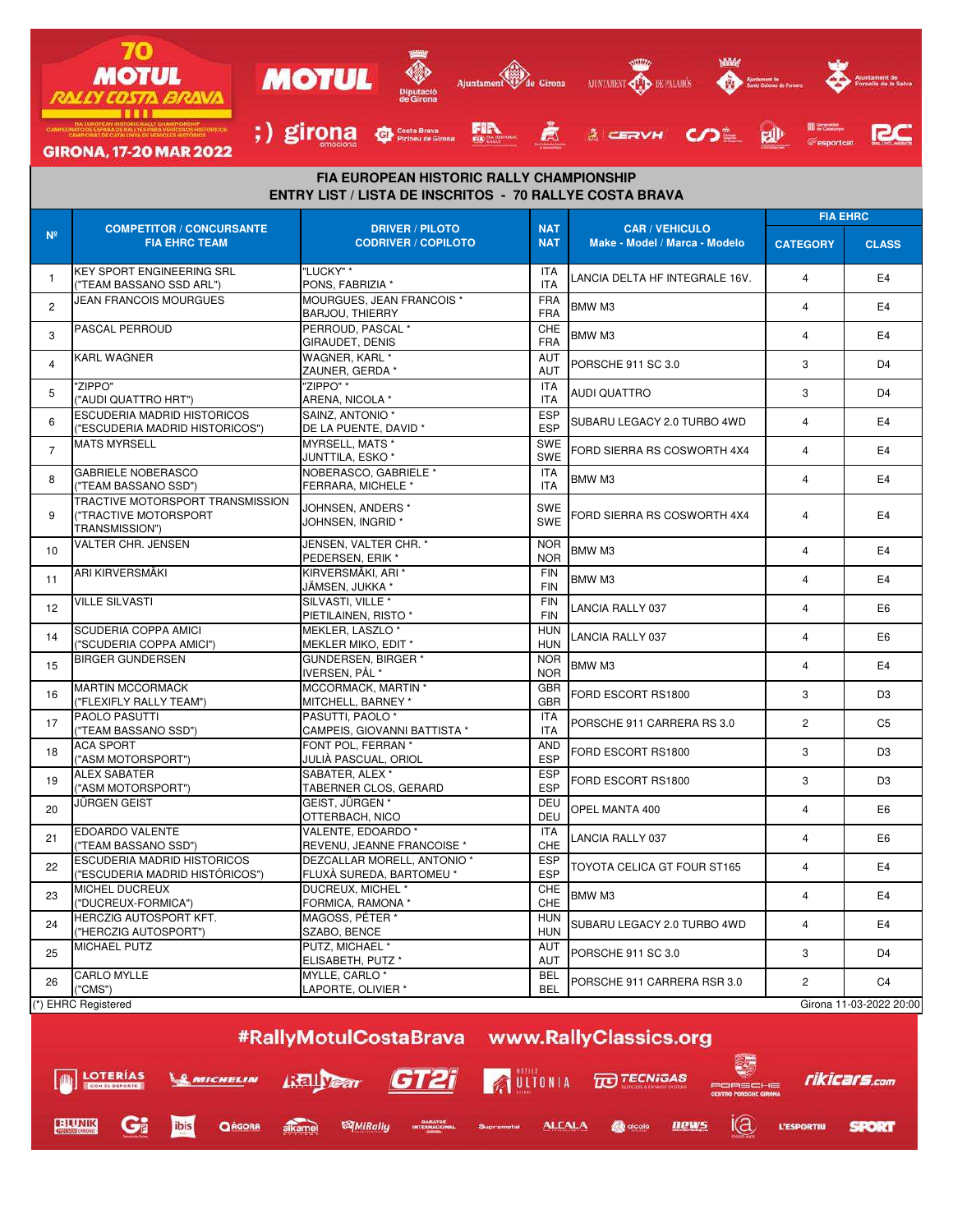

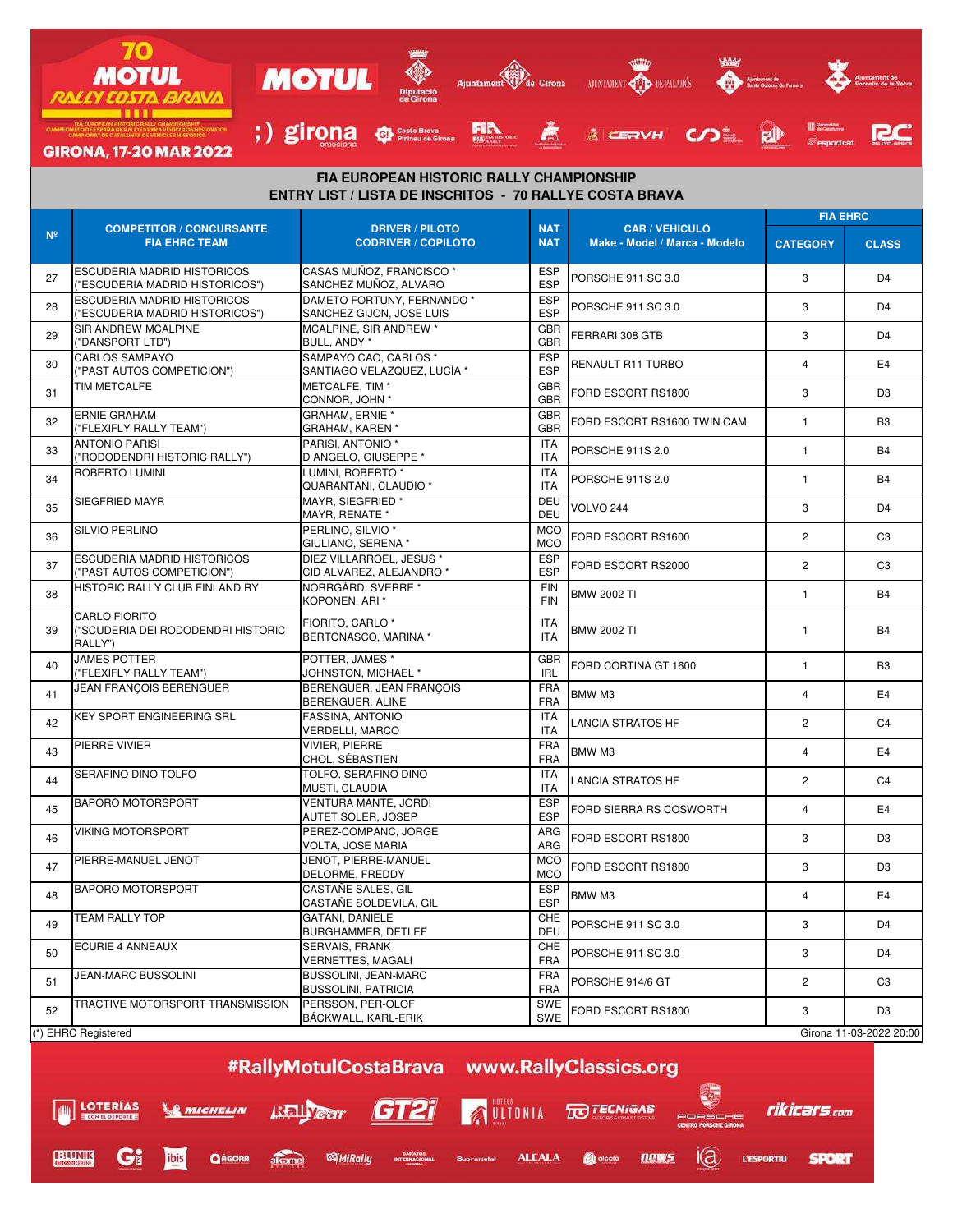

**LOTERÍAS ISLIVERT GT21** AULTONIA **TO TECNIGAS** rikicars.com **MICHELIN** Gi  $\mathsf{I}(\mathsf{a})$ QAGORA alkame ibis *MiRally* **GARATGE**<br>INTERNACIONAL **ALCALA De** alcalà news **L'ESPORTIU SPORT** 

**EHUNIK**